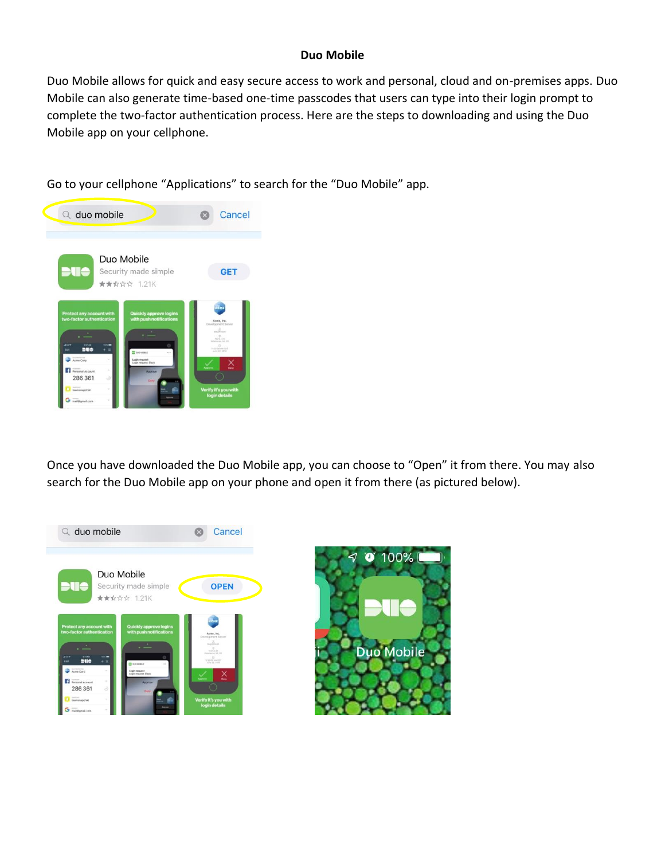## **Duo Mobile**

Duo Mobile allows for quick and easy secure access to work and personal, cloud and on-premises apps. Duo Mobile can also generate time-based one-time passcodes that users can type into their login prompt to complete the two-factor authentication process. Here are the steps to downloading and using the Duo Mobile app on your cellphone.

Go to your cellphone "Applications" to search for the "Duo Mobile" app.



Once you have downloaded the Duo Mobile app, you can choose to "Open" it from there. You may also search for the Duo Mobile app on your phone and open it from there (as pictured below).



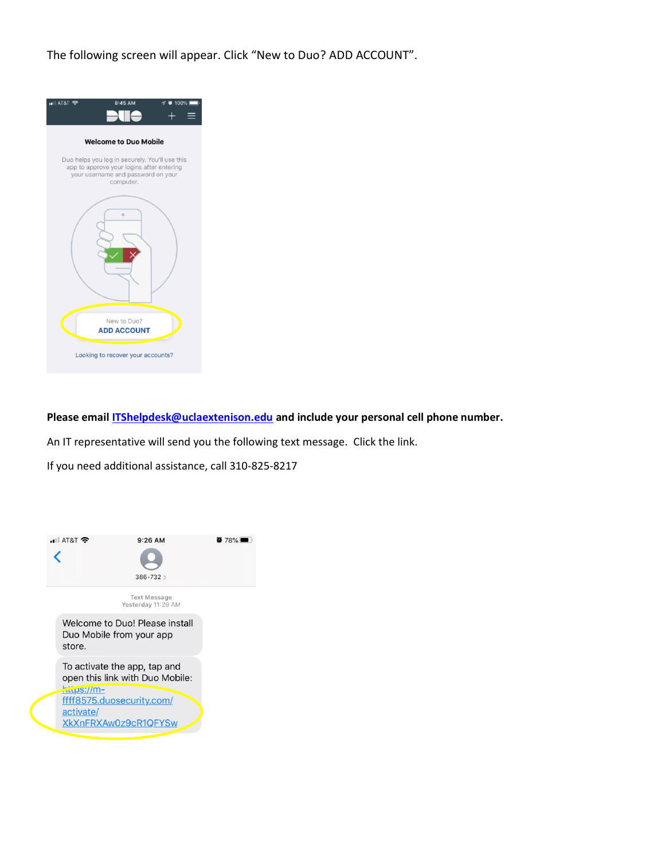The following screen will appear. Click "New to Duo? ADD ACCOUNT".



**Please email [ITShelpdesk@uclaextenison.edu](mailto:ITShelpdesk@uclaextenison.edu) and include your personal cell phone number.** 

An IT representative will send you the following text message. Click the link.

If you need additional assistance, call 310-825-8217

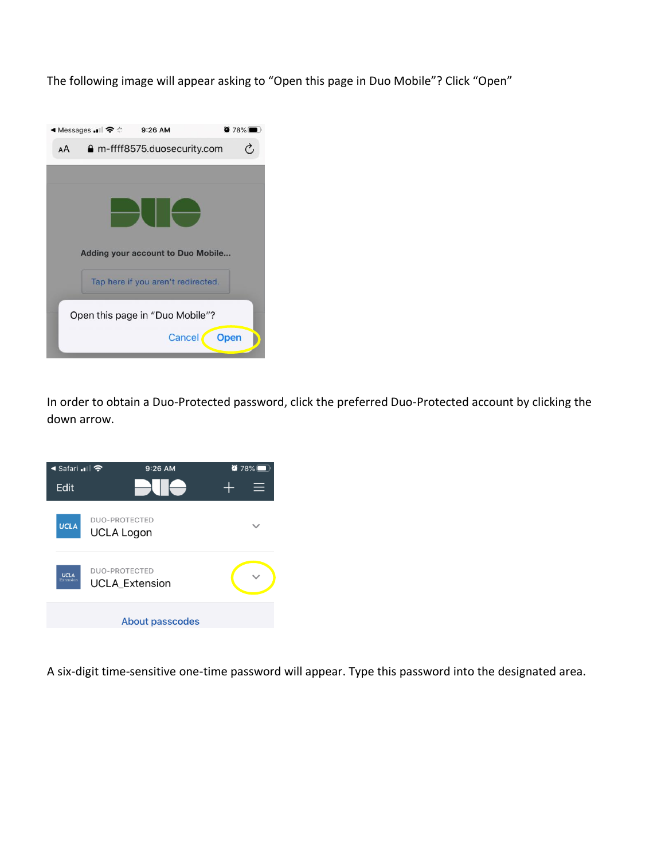The following image will appear asking to "Open this page in Duo Mobile"? Click "Open"



In order to obtain a Duo-Protected password, click the preferred Duo-Protected account by clicking the down arrow.



A six-digit time-sensitive one-time password will appear. Type this password into the designated area.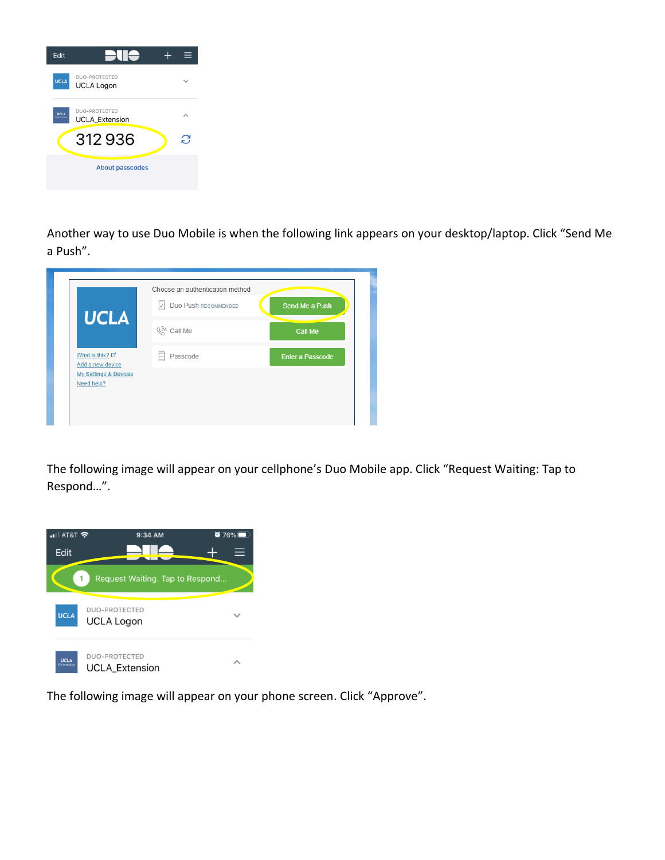

Another way to use Duo Mobile is when the following link appears on your desktop/laptop. Click "Send Me a Push".

| <b>UCLA</b>                          | Choose an authentication method<br>Þ<br>Duo Push RECOMMENDED | Send Me a Push          |
|--------------------------------------|--------------------------------------------------------------|-------------------------|
|                                      | OY<br>Call Me                                                | Call Me                 |
| What is this? L'<br>Add a new device | 冃<br>Passcode                                                | <b>Enter a Passcode</b> |
| My Settings & Devices<br>Need help?  |                                                              |                         |
|                                      |                                                              |                         |

The following image will appear on your cellphone's Duo Mobile app. Click "Request Waiting: Tap to Respond…".



The following image will appear on your phone screen. Click "Approve".